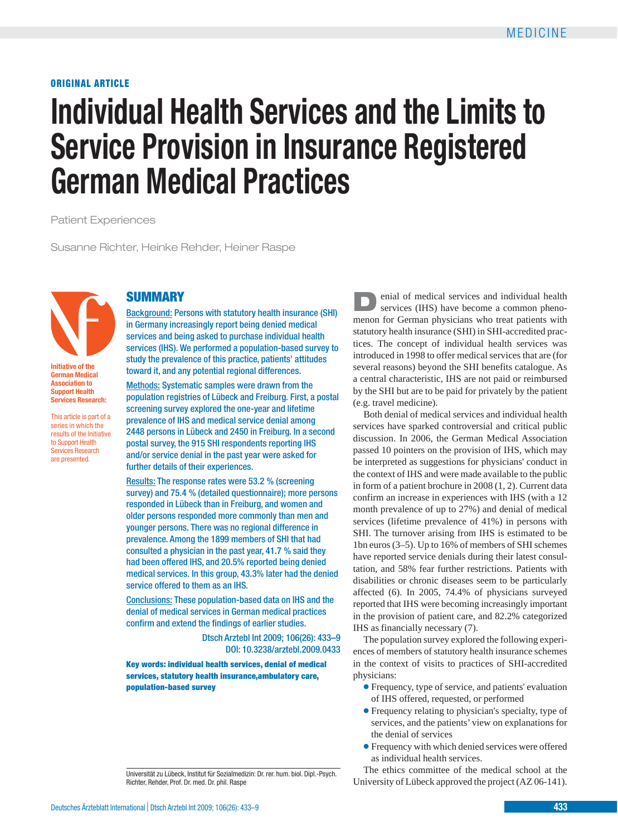**ORIGINAL ARTICLE**

# **Individual Health Services and the Limits to Service Provision in Insurance Registered German Medical Practices**

Patient Experiences

Susanne Richter, Heinke Rehder, Heiner Raspe



**Initiative of the German Medical Association to Support Health Services Research:** 

This article is part of a series in which the results of the Initiative to Support Health Services Research are presented.

# **SUMMARY**

Background: Persons with statutory health insurance (SHI) in Germany increasingly report being denied medical services and being asked to purchase individual health services (IHS). We performed a population-based survey to study the prevalence of this practice, patients' attitudes toward it, and any potential regional differences.

Methods: Systematic samples were drawn from the population registries of Lübeck and Freiburg. First, a postal screening survey explored the one-year and lifetime prevalence of IHS and medical service denial among 2448 persons in Lübeck and 2450 in Freiburg. In a second postal survey, the 915 SHI respondents reporting IHS and/or service denial in the past year were asked for further details of their experiences.

Results: The response rates were 53.2 % (screening survey) and 75.4 % (detailed questionnaire); more persons responded in Lübeck than in Freiburg, and women and older persons responded more commonly than men and younger persons. There was no regional difference in prevalence. Among the 1899 members of SHI that had consulted a physician in the past year, 41.7 % said they had been offered IHS, and 20.5% reported being denied medical services. In this group, 43.3% later had the denied service offered to them as an IHS.

Conclusions: These population-based data on IHS and the denial of medical services in German medical practices confirm and extend the findings of earlier studies.

> Dtsch Arztebl Int 2009; 106(26): 433–9 DOI: 10.3238/arztebl.2009.0433

**Key words: individual health services, denial of medical services, statutory health insurance,ambulatory care, population-based survey**

**D**enial of medical services and individual health services (IHS) have become a common phenomenon for German physicians who treat patients with statutory health insurance (SHI) in SHI-accredited practices. The concept of individual health services was introduced in 1998 to offer medical services that are (for several reasons) beyond the SHI benefits catalogue. As a central characteristic, IHS are not paid or reimbursed by the SHI but are to be paid for privately by the patient (e.g. travel medicine).

Both denial of medical services and individual health services have sparked controversial and critical public discussion. In 2006, the German Medical Association passed 10 pointers on the provision of IHS, which may be interpreted as suggestions for physicians' conduct in the context of IHS and were made available to the public in form of a patient brochure in 2008 (1, 2). Current data confirm an increase in experiences with IHS (with a 12 month prevalence of up to 27%) and denial of medical services (lifetime prevalence of 41%) in persons with SHI. The turnover arising from IHS is estimated to be 1bn euros (3–5). Up to 16% of members of SHI schemes have reported service denials during their latest consultation, and 58% fear further restrictions. Patients with disabilities or chronic diseases seem to be particularly affected (6). In 2005, 74.4% of physicians surveyed reported that IHS were becoming increasingly important in the provision of patient care, and 82.2% categorized IHS as financially necessary (7).

The population survey explored the following experiences of members of statutory health insurance schemes in the context of visits to practices of SHI-accredited physicians:

- ❃ Frequency, type of service, and patients' evaluation of IHS offered, requested, or performed
- ❃ Frequency relating to physician's specialty, type of services, and the patients' view on explanations for the denial of services
- ❃ Frequency with which denied services were offered as individual health services.

The ethics committee of the medical school at the University of Lübeck approved the project (AZ 06-141).

Universität zu Lübeck, Institut für Sozialmedizin: Dr. rer. hum. biol. Dipl.-Psych. Richter, Rehder, Prof. Dr. med. Dr. phil. Raspe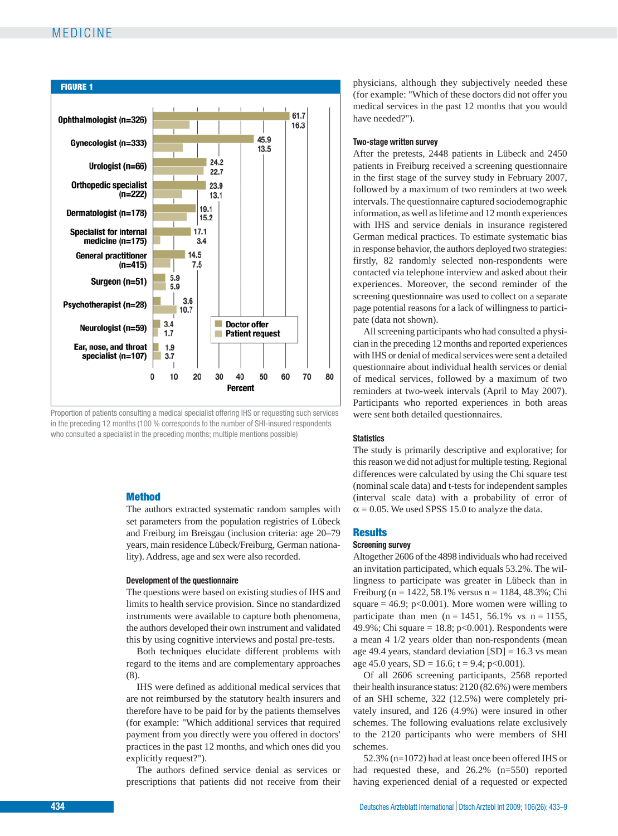# MEDICINE



Proportion of patients consulting a medical specialist offering IHS or requesting such services in the preceding 12 months (100 % corresponds to the number of SHI-insured respondents who consulted a specialist in the preceding months; multiple mentions possible)

## **Method**

The authors extracted systematic random samples with set parameters from the population registries of Lübeck and Freiburg im Breisgau (inclusion criteria: age 20–79 years, main residence Lübeck/Freiburg, German nationality). Address, age and sex were also recorded.

#### **Development of the questionnaire**

The questions were based on existing studies of IHS and limits to health service provision. Since no standardized instruments were available to capture both phenomena, the authors developed their own instrument and validated this by using cognitive interviews and postal pre-tests.

Both techniques elucidate different problems with regard to the items and are complementary approaches (8).

IHS were defined as additional medical services that are not reimbursed by the statutory health insurers and therefore have to be paid for by the patients themselves (for example: "Which additional services that required payment from you directly were you offered in doctors' practices in the past 12 months, and which ones did you explicitly request?").

The authors defined service denial as services or prescriptions that patients did not receive from their

physicians, although they subjectively needed these (for example: "Which of these doctors did not offer you medical services in the past 12 months that you would have needed?").

### **Two-stage written survey**

After the pretests, 2448 patients in Lübeck and 2450 patients in Freiburg received a screening questionnaire in the first stage of the survey study in February 2007, followed by a maximum of two reminders at two week intervals. The questionnaire captured sociodemographic information, as well as lifetime and 12 month experiences with IHS and service denials in insurance registered German medical practices. To estimate systematic bias in response behavior, the authors deployed two strategies: firstly, 82 randomly selected non-respondents were contacted via telephone interview and asked about their experiences. Moreover, the second reminder of the screening questionnaire was used to collect on a separate page potential reasons for a lack of willingness to participate (data not shown).

All screening participants who had consulted a physician in the preceding 12 months and reported experiences with IHS or denial of medical services were sent a detailed questionnaire about individual health services or denial of medical services, followed by a maximum of two reminders at two-week intervals (April to May 2007). Participants who reported experiences in both areas were sent both detailed questionnaires.

#### **Statistics**

The study is primarily descriptive and explorative; for this reason we did not adjust for multiple testing. Regional differences were calculated by using the Chi square test (nominal scale data) and t-tests for independent samples (interval scale data) with a probability of error of  $\alpha$  = 0.05. We used SPSS 15.0 to analyze the data.

#### **Results**

#### **Screening survey**

Altogether 2606 of the 4898 individuals who had received an invitation participated, which equals 53.2%. The willingness to participate was greater in Lübeck than in Freiburg (n = 1422, 58.1% versus n = 1184, 48.3%; Chi square  $= 46.9$ ; p<0.001). More women were willing to participate than men (n = 1451, 56.1% vs n = 1155, 49.9%; Chi square = 18.8; p<0.001). Respondents were a mean 4 1/2 years older than non-respondents (mean age 49.4 years, standard deviation  $[SD] = 16.3$  vs mean age 45.0 years,  $SD = 16.6$ ;  $t = 9.4$ ;  $p < 0.001$ ).

Of all 2606 screening participants, 2568 reported their health insurance status: 2120 (82.6%) were members of an SHI scheme, 322 (12.5%) were completely privately insured, and 126 (4.9%) were insured in other schemes. The following evaluations relate exclusively to the 2120 participants who were members of SHI schemes.

52.3% (n=1072) had at least once been offered IHS or had requested these, and 26.2% (n=550) reported having experienced denial of a requested or expected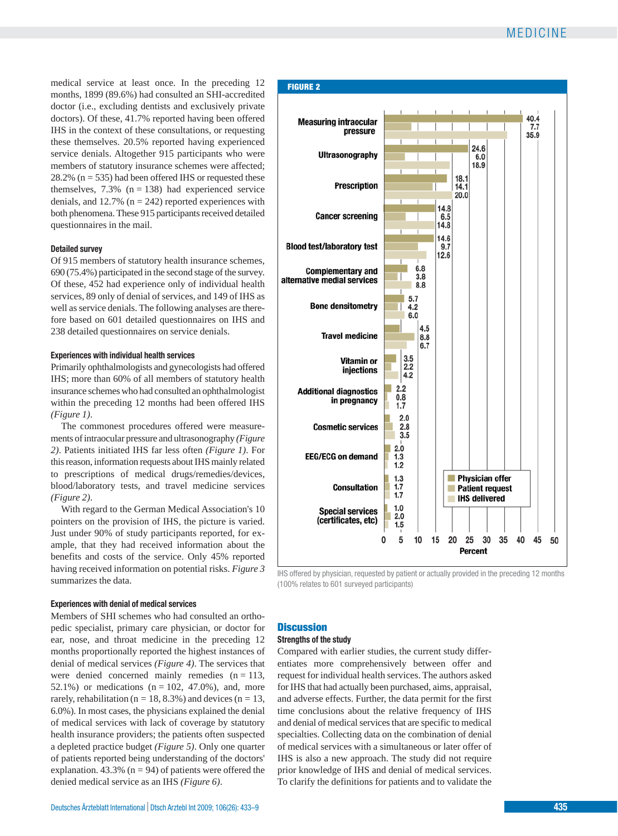# MEDICINE

medical service at least once. In the preceding 12 months, 1899 (89.6%) had consulted an SHI-accredited doctor (i.e., excluding dentists and exclusively private doctors). Of these, 41.7% reported having been offered IHS in the context of these consultations, or requesting these themselves. 20.5% reported having experienced service denials. Altogether 915 participants who were members of statutory insurance schemes were affected; 28.2% ( $n = 535$ ) had been offered IHS or requested these themselves,  $7.3\%$  (n = 138) had experienced service denials, and  $12.7\%$  (n = 242) reported experiences with both phenomena. These 915 participants received detailed questionnaires in the mail.

# **Detailed survey**

Of 915 members of statutory health insurance schemes, 690 (75.4%) participated in the second stage of the survey. Of these, 452 had experience only of individual health services, 89 only of denial of services, and 149 of IHS as well as service denials. The following analyses are therefore based on 601 detailed questionnaires on IHS and 238 detailed questionnaires on service denials.

# **Experiences with individual health services**

Primarily ophthalmologists and gynecologists had offered IHS; more than 60% of all members of statutory health insurance schemes who had consulted an ophthalmologist within the preceding 12 months had been offered IHS *(Figure 1)*.

The commonest procedures offered were measurements of intraocular pressure and ultrasonography *(Figure 2)*. Patients initiated IHS far less often *(Figure 1)*. For this reason, information requests about IHS mainly related to prescriptions of medical drugs/remedies/devices, blood/laboratory tests, and travel medicine services *(Figure 2)*.

With regard to the German Medical Association's 10 pointers on the provision of IHS, the picture is varied. Just under 90% of study participants reported, for example, that they had received information about the benefits and costs of the service. Only 45% reported having received information on potential risks. *Figure 3* summarizes the data.

# **Experiences with denial of medical services**

Members of SHI schemes who had consulted an orthopedic specialist, primary care physician, or doctor for ear, nose, and throat medicine in the preceding 12 months proportionally reported the highest instances of denial of medical services *(Figure 4)*. The services that were denied concerned mainly remedies  $(n = 113,$ 52.1%) or medications  $(n = 102, 47.0)$ , and, more rarely, rehabilitation ( $n = 18, 8.3\%$ ) and devices ( $n = 13$ , 6.0%). In most cases, the physicians explained the denial of medical services with lack of coverage by statutory health insurance providers; the patients often suspected a depleted practice budget *(Figure 5)*. Only one quarter of patients reported being understanding of the doctors' explanation.  $43.3\%$  (n = 94) of patients were offered the denied medical service as an IHS *(Figure 6)*.



IHS offered by physician, requested by patient or actually provided in the preceding 12 months (100% relates to 601 surveyed participants)

# **Discussion**

# **Strengths of the study**

Compared with earlier studies, the current study differentiates more comprehensively between offer and request for individual health services. The authors asked for IHS that had actually been purchased, aims, appraisal, and adverse effects. Further, the data permit for the first time conclusions about the relative frequency of IHS and denial of medical services that are specific to medical specialties. Collecting data on the combination of denial of medical services with a simultaneous or later offer of IHS is also a new approach. The study did not require prior knowledge of IHS and denial of medical services. To clarify the definitions for patients and to validate the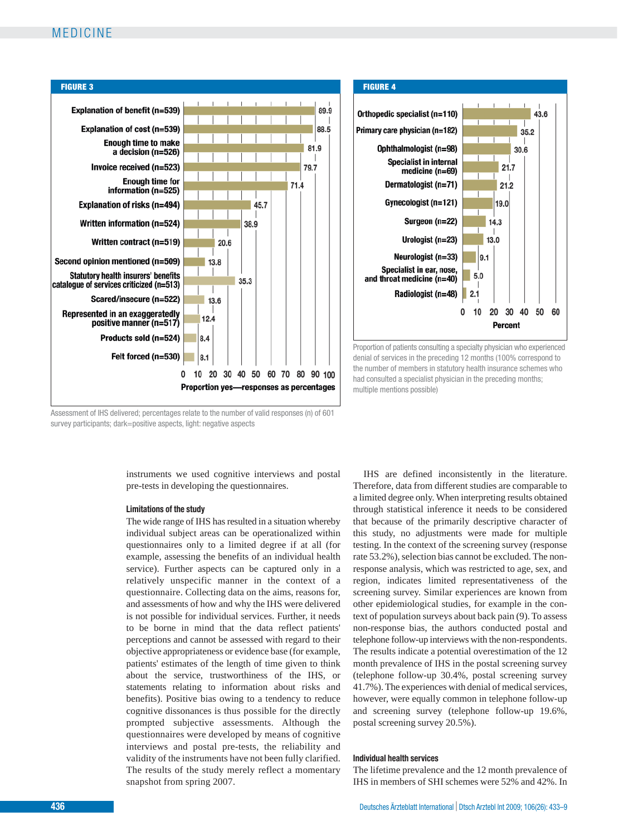# MEDICINE





Proportion of patients consulting a specialty physician who experienced denial of services in the preceding 12 months (100% correspond to the number of members in statutory health insurance schemes who had consulted a specialist physician in the preceding months; multiple mentions possible)

Assessment of IHS delivered; percentages relate to the number of valid responses (n) of 601 survey participants; dark=positive aspects, light: negative aspects

> instruments we used cognitive interviews and postal pre-tests in developing the questionnaires.

#### **Limitations of the study**

The wide range of IHS has resulted in a situation whereby individual subject areas can be operationalized within questionnaires only to a limited degree if at all (for example, assessing the benefits of an individual health service). Further aspects can be captured only in a relatively unspecific manner in the context of a questionnaire. Collecting data on the aims, reasons for, and assessments of how and why the IHS were delivered is not possible for individual services. Further, it needs to be borne in mind that the data reflect patients' perceptions and cannot be assessed with regard to their objective appropriateness or evidence base (for example, patients' estimates of the length of time given to think about the service, trustworthiness of the IHS, or statements relating to information about risks and benefits). Positive bias owing to a tendency to reduce cognitive dissonances is thus possible for the directly prompted subjective assessments. Although the questionnaires were developed by means of cognitive interviews and postal pre-tests, the reliability and validity of the instruments have not been fully clarified. The results of the study merely reflect a momentary snapshot from spring 2007.

IHS are defined inconsistently in the literature. Therefore, data from different studies are comparable to a limited degree only. When interpreting results obtained through statistical inference it needs to be considered that because of the primarily descriptive character of this study, no adjustments were made for multiple testing. In the context of the screening survey (response rate 53.2%), selection bias cannot be excluded. The nonresponse analysis, which was restricted to age, sex, and region, indicates limited representativeness of the screening survey. Similar experiences are known from other epidemiological studies, for example in the context of population surveys about back pain (9). To assess non-response bias, the authors conducted postal and telephone follow-up interviews with the non-respondents. The results indicate a potential overestimation of the 12 month prevalence of IHS in the postal screening survey (telephone follow-up 30.4%, postal screening survey 41.7%). The experiences with denial of medical services, however, were equally common in telephone follow-up and screening survey (telephone follow-up 19.6%, postal screening survey 20.5%).

## **Individual health services**

The lifetime prevalence and the 12 month prevalence of IHS in members of SHI schemes were 52% and 42%. In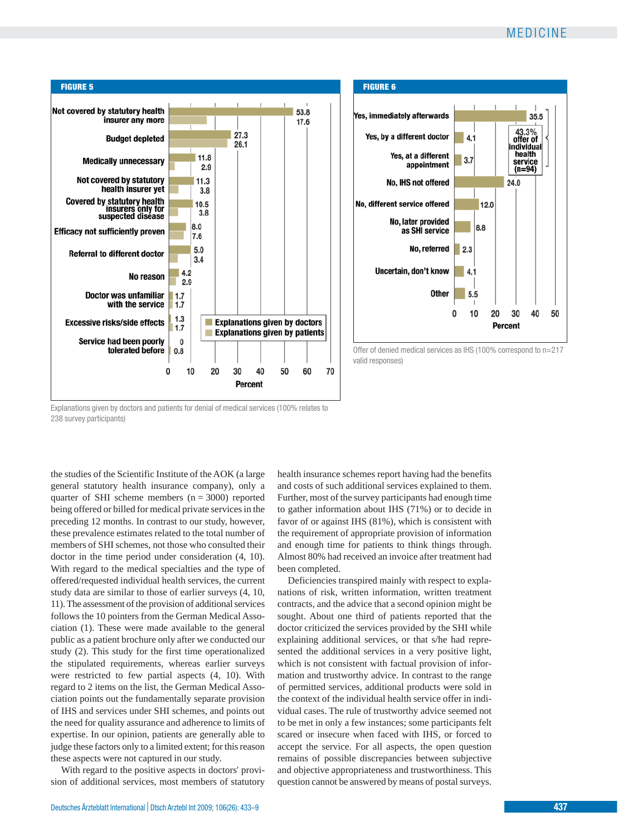50



Explanations given by doctors and patients for denial of medical services (100% relates to 238 survey participants)

the studies of the Scientific Institute of the AOK (a large general statutory health insurance company), only a quarter of SHI scheme members  $(n = 3000)$  reported being offered or billed for medical private services in the preceding 12 months. In contrast to our study, however, these prevalence estimates related to the total number of members of SHI schemes, not those who consulted their doctor in the time period under consideration (4, 10). With regard to the medical specialties and the type of offered/requested individual health services, the current study data are similar to those of earlier surveys (4, 10, 11). The assessment of the provision of additional services follows the 10 pointers from the German Medical Association (1). These were made available to the general public as a patient brochure only after we conducted our study (2). This study for the first time operationalized the stipulated requirements, whereas earlier surveys were restricted to few partial aspects (4, 10). With regard to 2 items on the list, the German Medical Association points out the fundamentally separate provision of IHS and services under SHI schemes, and points out the need for quality assurance and adherence to limits of expertise. In our opinion, patients are generally able to judge these factors only to a limited extent; for this reason these aspects were not captured in our study.

With regard to the positive aspects in doctors' provision of additional services, most members of statutory health insurance schemes report having had the benefits and costs of such additional services explained to them. Further, most of the survey participants had enough time to gather information about IHS (71%) or to decide in favor of or against IHS (81%), which is consistent with the requirement of appropriate provision of information and enough time for patients to think things through. Almost 80% had received an invoice after treatment had been completed.

Deficiencies transpired mainly with respect to explanations of risk, written information, written treatment contracts, and the advice that a second opinion might be sought. About one third of patients reported that the doctor criticized the services provided by the SHI while explaining additional services, or that s/he had represented the additional services in a very positive light, which is not consistent with factual provision of information and trustworthy advice. In contrast to the range of permitted services, additional products were sold in the context of the individual health service offer in individual cases. The rule of trustworthy advice seemed not to be met in only a few instances; some participants felt scared or insecure when faced with IHS, or forced to accept the service. For all aspects, the open question remains of possible discrepancies between subjective and objective appropriateness and trustworthiness. This question cannot be answered by means of postal surveys.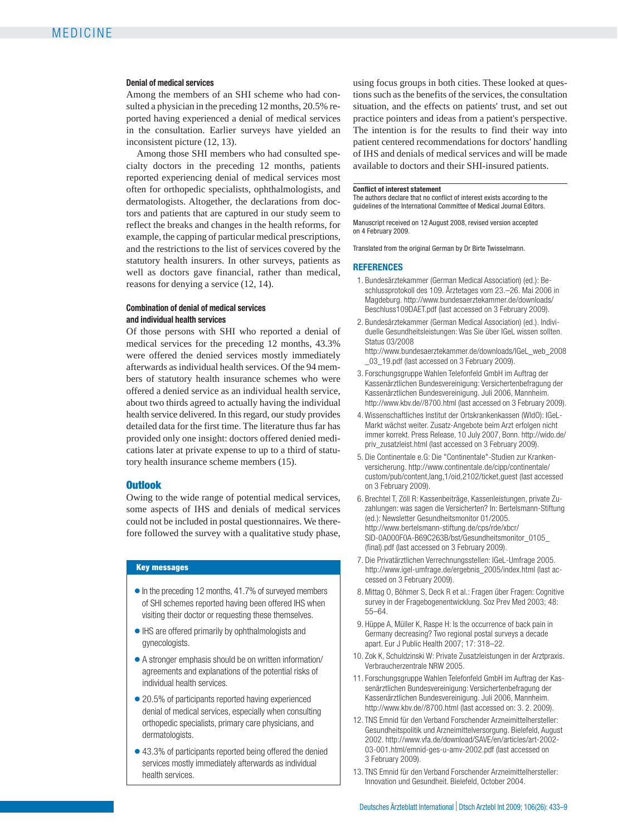#### **Denial of medical services**

Among the members of an SHI scheme who had consulted a physician in the preceding 12 months, 20.5% reported having experienced a denial of medical services in the consultation. Earlier surveys have yielded an inconsistent picture (12, 13).

Among those SHI members who had consulted specialty doctors in the preceding 12 months, patients reported experiencing denial of medical services most often for orthopedic specialists, ophthalmologists, and dermatologists. Altogether, the declarations from doctors and patients that are captured in our study seem to reflect the breaks and changes in the health reforms, for example, the capping of particular medical prescriptions, and the restrictions to the list of services covered by the statutory health insurers. In other surveys, patients as well as doctors gave financial, rather than medical, reasons for denying a service (12, 14).

## **Combination of denial of medical services and individual health services**

Of those persons with SHI who reported a denial of medical services for the preceding 12 months, 43.3% were offered the denied services mostly immediately afterwards as individual health services. Of the 94 members of statutory health insurance schemes who were offered a denied service as an individual health service, about two thirds agreed to actually having the individual health service delivered. In this regard, our study provides detailed data for the first time. The literature thus far has provided only one insight: doctors offered denied medications later at private expense to up to a third of statutory health insurance scheme members (15).

#### **Outlook**

Owing to the wide range of potential medical services, some aspects of IHS and denials of medical services could not be included in postal questionnaires. We therefore followed the survey with a qualitative study phase,

### **Key messages**

- ❃ In the preceding 12 months, 41.7% of surveyed members of SHI schemes reported having been offered IHS when visiting their doctor or requesting these themselves.
- ❃ IHS are offered primarily by ophthalmologists and gynecologists.
- ❃ A stronger emphasis should be on written information/ agreements and explanations of the potential risks of individual health services.
- 20.5% of participants reported having experienced denial of medical services, especially when consulting orthopedic specialists, primary care physicians, and dermatologists.
- ❃ 43.3% of participants reported being offered the denied services mostly immediately afterwards as individual health services.

using focus groups in both cities. These looked at questions such as the benefits of the services, the consultation situation, and the effects on patients' trust, and set out practice pointers and ideas from a patient's perspective. The intention is for the results to find their way into patient centered recommendations for doctors' handling of IHS and denials of medical services and will be made available to doctors and their SHI-insured patients.

#### **Conflict of interest statement**

The authors declare that no conflict of interest exists according to the guidelines of the International Committee of Medical Journal Editors.

Manuscript received on 12 August 2008, revised version accepted on 4 February 2009.

Translated from the original German by Dr Birte Twisselmann.

# **REFERENCES**

- 1. Bundesärztekammer (German Medical Association) (ed.): Beschlussprotokoll des 109. Ärztetages vom 23.–26. Mai 2006 in Magdeburg. http://www.bundesaerztekammer.de/downloads/ Beschluss109DAET.pdf (last accessed on 3 February 2009).
- 2. Bundesärztekammer (German Medical Association) (ed.). Individuelle Gesundheitsleistungen: Was Sie über IGeL wissen sollten. Status 03/2008
	- http://www.bundesaerztekammer.de/downloads/IGeL\_web\_2008 \_03\_19.pdf (last accessed on 3 February 2009).
- 3. Forschungsgruppe Wahlen Telefonfeld GmbH im Auftrag der Kassenärztlichen Bundesvereinigung: Versichertenbefragung der Kassenärztlichen Bundesvereinigung. Juli 2006, Mannheim. http://www.kbv.de//8700.html (last accessed on 3 February 2009).
- 4. Wissenschaftliches Institut der Ortskrankenkassen (WIdO): IGeL-Markt wächst weiter. Zusatz-Angebote beim Arzt erfolgen nicht immer korrekt. Press Release, 10 July 2007, Bonn. http://wido.de/ priv\_zusatzleist.html (last accessed on 3 February 2009).
- 5. Die Continentale e.G: Die "Continentale"-Studien zur Krankenversicherung. http://www.continentale.de/cipp/continentale/ custom/pub/content,lang,1/oid,2102/ticket,guest (last accessed on 3 February 2009).
- 6. Brechtel T, Zöll R: Kassenbeiträge, Kassenleistungen, private Zuzahlungen: was sagen die Versicherten? In: Bertelsmann-Stiftung (ed.): Newsletter Gesundheitsmonitor 01/2005. http://www.bertelsmann-stiftung.de/cps/rde/xbcr/ SID-0A000F0A-B69C263B/bst/Gesundheitsmonitor\_0105\_ (final).pdf (last accessed on 3 February 2009).
- 7. Die Privatärztlichen Verrechnungsstellen: IGeL-Umfrage 2005. http://www.igel-umfrage.de/ergebnis\_2005/index.html (last accessed on 3 February 2009).
- 8. Mittag O, Böhmer S, Deck R et al.: Fragen über Fragen: Cognitive survey in der Fragebogenentwicklung. Soz Prev Med 2003; 48: 55–64.
- 9. Hüppe A, Müller K, Raspe H: Is the occurrence of back pain in Germany decreasing? Two regional postal surveys a decade apart. Eur J Public Health 2007; 17: 318–22.
- 10. Zok K, Schuldzinski W: Private Zusatzleistungen in der Arztpraxis. Verbraucherzentrale NRW 2005.
- 11. Forschungsgruppe Wahlen Telefonfeld GmbH im Auftrag der Kassenärztlichen Bundesvereinigung: Versichertenbefragung der Kassenärztlichen Bundesvereinigung. Juli 2006, Mannheim. http://www.kbv.de//8700.html (last accessed on: 3. 2. 2009).
- 12. TNS Emnid für den Verband Forschender Arzneimittelhersteller: Gesundheitspolitik und Arzneimittelversorgung. Bielefeld, August 2002. http://www.vfa.de/download/SAVE/en/articles/art-2002- 03-001.html/emnid-ges-u-amv-2002.pdf (last accessed on 3 February 2009).
- 13. TNS Emnid für den Verband Forschender Arzneimittelhersteller: Innovation und Gesundheit. Bielefeld, October 2004.